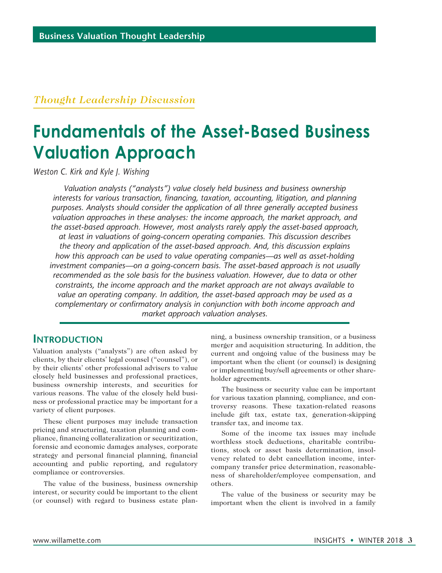### *Thought Leadership Discussion*

# **Fundamentals of the Asset-Based Business Valuation Approach**

*Weston C. Kirk and Kyle J. Wishing*

*Valuation analysts ("analysts") value closely held business and business ownership interests for various transaction, financing, taxation, accounting, litigation, and planning purposes. Analysts should consider the application of all three generally accepted business valuation approaches in these analyses: the income approach, the market approach, and the asset-based approach. However, most analysts rarely apply the asset-based approach, at least in valuations of going-concern operating companies. This discussion describes the theory and application of the asset-based approach. And, this discussion explains how this approach can be used to value operating companies—as well as asset-holding investment companies—on a going-concern basis. The asset-based approach is not usually recommended as the sole basis for the business valuation. However, due to data or other constraints, the income approach and the market approach are not always available to value an operating company. In addition, the asset-based approach may be used as a complementary or confirmatory analysis in conjunction with both income approach and market approach valuation analyses.*

### **Introduction**

Valuation analysts ("analysts") are often asked by clients, by their clients' legal counsel ("counsel"), or by their clients' other professional advisers to value closely held businesses and professional practices, business ownership interests, and securities for various reasons. The value of the closely held business or professional practice may be important for a variety of client purposes.

These client purposes may include transaction pricing and structuring, taxation planning and compliance, financing collateralization or securitization, forensic and economic damages analyses, corporate strategy and personal financial planning, financial accounting and public reporting, and regulatory compliance or controversies.

The value of the business, business ownership interest, or security could be important to the client (or counsel) with regard to business estate planning, a business ownership transition, or a business merger and acquisition structuring. In addition, the current and ongoing value of the business may be important when the client (or counsel) is designing or implementing buy/sell agreements or other shareholder agreements.

The business or security value can be important for various taxation planning, compliance, and controversy reasons. These taxation-related reasons include gift tax, estate tax, generation-skipping transfer tax, and income tax.

Some of the income tax issues may include worthless stock deductions, charitable contributions, stock or asset basis determination, insolvency related to debt cancellation income, intercompany transfer price determination, reasonableness of shareholder/employee compensation, and others.

The value of the business or security may be important when the client is involved in a family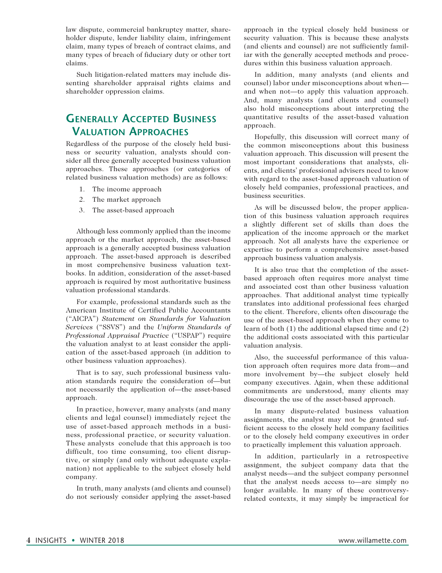law dispute, commercial bankruptcy matter, shareholder dispute, lender liability claim, infringement claim, many types of breach of contract claims, and many types of breach of fiduciary duty or other tort claims.

Such litigation-related matters may include dissenting shareholder appraisal rights claims and shareholder oppression claims.

### **Generally Accepted Business Valuation Approaches**

Regardless of the purpose of the closely held business or security valuation, analysts should consider all three generally accepted business valuation approaches. These approaches (or categories of related business valuation methods) are as follows:

- 1. The income approach
- 2. The market approach
- 3. The asset-based approach

Although less commonly applied than the income approach or the market approach, the asset-based approach is a generally accepted business valuation approach. The asset-based approach is described in most comprehensive business valuation textbooks. In addition, consideration of the asset-based approach is required by most authoritative business valuation professional standards.

For example, professional standards such as the American Institute of Certified Public Accountants ("AICPA") *Statement on Standards for Valuation Services* ("SSVS") and the *Uniform Standards of Professional Appraisal Practice* ("USPAP") require the valuation analyst to at least consider the application of the asset-based approach (in addition to other business valuation approaches).

That is to say, such professional business valuation standards require the consideration of—but not necessarily the application of—the asset-based approach.

In practice, however, many analysts (and many clients and legal counsel) immediately reject the use of asset-based approach methods in a business, professional practice, or security valuation. These analysts conclude that this approach is too difficult, too time consuming, too client disruptive, or simply (and only without adequate explanation) not applicable to the subject closely held company.

In truth, many analysts (and clients and counsel) do not seriously consider applying the asset-based

approach in the typical closely held business or security valuation. This is because these analysts (and clients and counsel) are not sufficiently familiar with the generally accepted methods and procedures within this business valuation approach.

In addition, many analysts (and clients and counsel) labor under misconceptions about when and when not—to apply this valuation approach. And, many analysts (and clients and counsel) also hold misconceptions about interpreting the quantitative results of the asset-based valuation approach.

Hopefully, this discussion will correct many of the common misconceptions about this business valuation approach. This discussion will present the most important considerations that analysts, clients, and clients' professional advisers need to know with regard to the asset-based approach valuation of closely held companies, professional practices, and business securities.

As will be discussed below, the proper application of this business valuation approach requires a slightly different set of skills than does the application of the income approach or the market approach. Not all analysts have the experience or expertise to perform a comprehensive asset-based approach business valuation analysis.

It is also true that the completion of the assetbased approach often requires more analyst time and associated cost than other business valuation approaches. That additional analyst time typically translates into additional professional fees charged to the client. Therefore, clients often discourage the use of the asset-based approach when they come to learn of both (1) the additional elapsed time and (2) the additional costs associated with this particular valuation analysis.

Also, the successful performance of this valuation approach often requires more data from—and more involvement by—the subject closely held company executives. Again, when these additional commitments are understood, many clients may discourage the use of the asset-based approach.

In many dispute-related business valuation assignments, the analyst may not be granted sufficient access to the closely held company facilities or to the closely held company executives in order to practically implement this valuation approach.

In addition, particularly in a retrospective assignment, the subject company data that the analyst needs—and the subject company personnel that the analyst needs access to—are simply no longer available. In many of these controversyrelated contexts, it may simply be impractical for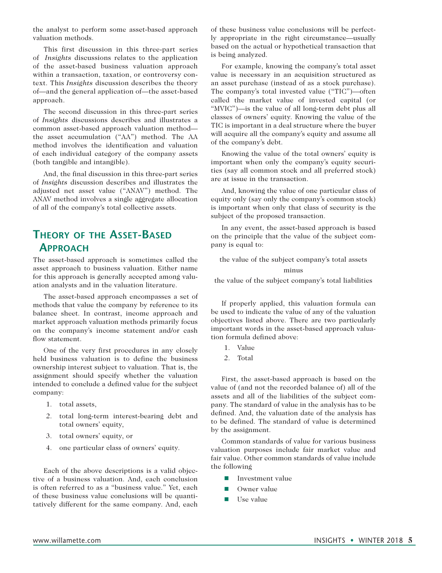the analyst to perform some asset-based approach valuation methods.

This first discussion in this three-part series of *Insights* discussions relates to the application of the asset-based business valuation approach within a transaction, taxation, or controversy context. This *Insights* discussion describes the theory of—and the general application of—the asset-based approach.

The second discussion in this three-part series of *Insights* discussions describes and illustrates a common asset-based approach valuation method the asset accumulation ("AA") method. The AA method involves the identification and valuation of each individual category of the company assets (both tangible and intangible).

And, the final discussion in this three-part series of *Insights* discussion describes and illustrates the adjusted net asset value ("ANAV") method. The ANAV method involves a single aggregate allocation of all of the company's total collective assets.

### **Theory of the Asset-Based Approach**

The asset-based approach is sometimes called the asset approach to business valuation. Either name for this approach is generally accepted among valuation analysts and in the valuation literature.

The asset-based approach encompasses a set of methods that value the company by reference to its balance sheet. In contrast, income approach and market approach valuation methods primarily focus on the company's income statement and/or cash flow statement.

One of the very first procedures in any closely held business valuation is to define the business ownership interest subject to valuation. That is, the assignment should specify whether the valuation intended to conclude a defined value for the subject company:

- 1. total assets,
- 2. total long-term interest-bearing debt and total owners' equity,
- 3. total owners' equity, or
- 4. one particular class of owners' equity.

Each of the above descriptions is a valid objective of a business valuation. And, each conclusion is often referred to as a "business value." Yet, each of these business value conclusions will be quantitatively different for the same company. And, each

of these business value conclusions will be perfectly appropriate in the right circumstance—usually based on the actual or hypothetical transaction that is being analyzed.

For example, knowing the company's total asset value is necessary in an acquisition structured as an asset purchase (instead of as a stock purchase). The company's total invested value ("TIC")—often called the market value of invested capital (or "MVIC")—is the value of all long-term debt plus all classes of owners' equity. Knowing the value of the TIC is important in a deal structure where the buyer will acquire all the company's equity and assume all of the company's debt.

Knowing the value of the total owners' equity is important when only the company's equity securities (say all common stock and all preferred stock) are at issue in the transaction.

And, knowing the value of one particular class of equity only (say only the company's common stock) is important when only that class of security is the subject of the proposed transaction.

In any event, the asset-based approach is based on the principle that the value of the subject company is equal to:

the value of the subject company's total assets

#### minus

the value of the subject company's total liabilities

If properly applied, this valuation formula can be used to indicate the value of any of the valuation objectives listed above. There are two particularly important words in the asset-based approach valuation formula defined above:

- 1. Value
- 2. Total

First, the asset-based approach is based on the value of (and not the recorded balance of) all of the assets and all of the liabilities of the subject company. The standard of value in the analysis has to be defined. And, the valuation date of the analysis has to be defined. The standard of value is determined by the assignment.

Common standards of value for various business valuation purposes include fair market value and fair value. Other common standards of value include the following

- $\blacksquare$  Investment value
- $\blacksquare$  Owner value
- $\blacksquare$  Use value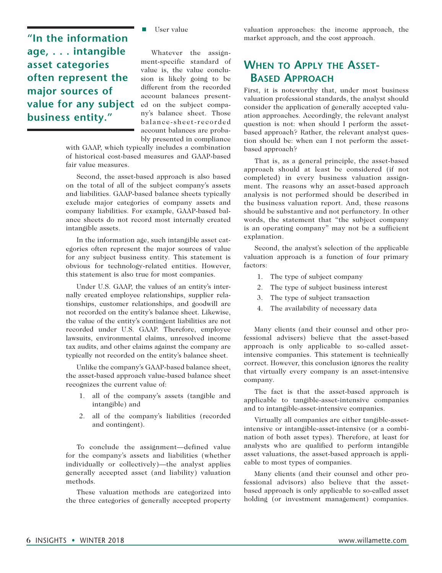**"In the information age, . . . intangible asset categories often represent the major sources of value for any subject business entity."**

 $\blacksquare$  User value

Whatever the assignment-specific standard of value is, the value conclusion is likely going to be different from the recorded account balances presented on the subject company's balance sheet. Those balance-sheet-recorded account balances are probably presented in compliance

with GAAP, which typically includes a combination of historical cost-based measures and GAAP-based fair value measures.

Second, the asset-based approach is also based on the total of all of the subject company's assets and liabilities. GAAP-based balance sheets typically exclude major categories of company assets and company liabilities. For example, GAAP-based balance sheets do not record most internally created intangible assets.

In the information age, such intangible asset categories often represent the major sources of value for any subject business entity. This statement is obvious for technology-related entities. However, this statement is also true for most companies.

Under U.S. GAAP, the values of an entity's internally created employee relationships, supplier relationships, customer relationships, and goodwill are not recorded on the entity's balance sheet. Likewise, the value of the entity's contingent liabilities are not recorded under U.S. GAAP. Therefore, employee lawsuits, environmental claims, unresolved income tax audits, and other claims against the company are typically not recorded on the entity's balance sheet.

Unlike the company's GAAP-based balance sheet, the asset-based approach value-based balance sheet recognizes the current value of:

- 1. all of the company's assets (tangible and intangible) and
- 2. all of the company's liabilities (recorded and contingent).

To conclude the assignment—defined value for the company's assets and liabilities (whether individually or collectively)—the analyst applies generally accepted asset (and liability) valuation methods.

These valuation methods are categorized into the three categories of generally accepted property valuation approaches: the income approach, the market approach, and the cost approach.

# **When to Apply the Asset-Based Approach**

First, it is noteworthy that, under most business valuation professional standards, the analyst should consider the application of generally accepted valuation approaches. Accordingly, the relevant analyst question is not: when should I perform the assetbased approach? Rather, the relevant analyst question should be: when can I not perform the assetbased approach?

That is, as a general principle, the asset-based approach should at least be considered (if not completed) in every business valuation assignment. The reasons why an asset-based approach analysis is not performed should be described in the business valuation report. And, these reasons should be substantive and not perfunctory. In other words, the statement that "the subject company is an operating company" may not be a sufficient explanation.

Second, the analyst's selection of the applicable valuation approach is a function of four primary factors:

- 1. The type of subject company
- 2. The type of subject business interest
- 3. The type of subject transaction
- 4. The availability of necessary data

Many clients (and their counsel and other professional advisers) believe that the asset-based approach is only applicable to so-called assetintensive companies. This statement is technically correct. However, this conclusion ignores the reality that virtually every company is an asset-intensive company.

The fact is that the asset-based approach is applicable to tangible-asset-intensive companies and to intangible-asset-intensive companies.

Virtually all companies are either tangible-assetintensive or intangible-asset-intensive (or a combination of both asset types). Therefore, at least for analysts who are qualified to perform intangible asset valuations, the asset-based approach is applicable to most types of companies.

Many clients (and their counsel and other professional advisors) also believe that the assetbased approach is only applicable to so-called asset holding (or investment management) companies.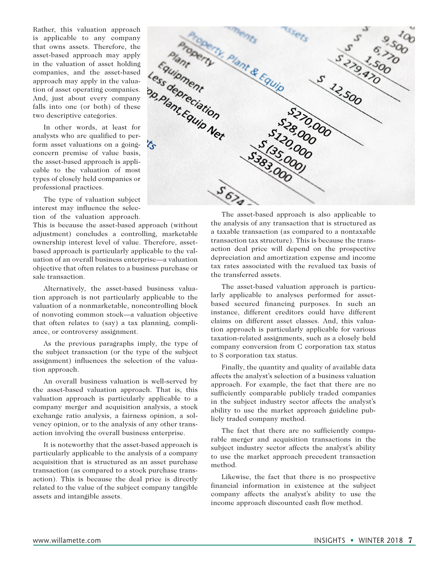Rather, this valuation approach is applicable to any company that owns assets. Therefore, the asset-based approach may apply in the valuation of asset holding companies, and the asset-based approach may apply in the valua-And, just about every company falls into one (or both) of these two descriptive categories.

In other words, at least for analysts who are qualified to perform asset valuations on a goingconcern premise of value basis, the asset-based approach is applicable to the valuation of most types of closely held companies or professional practices.

The type of valuation subject interest may influence the selection of the valuation approach.

This is because the asset-based approach (without adjustment) concludes a controlling, marketable ownership interest level of value. Therefore, assetbased approach is particularly applicable to the valuation of an overall business enterprise—a valuation objective that often relates to a business purchase or sale transaction.

Alternatively, the asset-based business valuation approach is not particularly applicable to the valuation of a nonmarketable, noncontrolling block of nonvoting common stock—a valuation objective that often relates to (say) a tax planning, compliance, or controversy assignment.

As the previous paragraphs imply, the type of the subject transaction (or the type of the subject assignment) influences the selection of the valuation approach.

An overall business valuation is well-served by the asset-based valuation approach. That is, this valuation approach is particularly applicable to a company merger and acquisition analysis, a stock exchange ratio analysis, a fairness opinion, a solvency opinion, or to the analysis of any other transaction involving the overall business enterprise.

It is noteworthy that the asset-based approach is particularly applicable to the analysis of a company acquisition that is structured as an asset purchase transaction (as compared to a stock purchase transaction). This is because the deal price is directly related to the value of the subject company tangible assets and intangible assets.



The asset-based approach is also applicable to the analysis of any transaction that is structured as a taxable transaction (as compared to a nontaxable transaction tax structure). This is because the transaction deal price will depend on the prospective depreciation and amortization expense and income tax rates associated with the revalued tax basis of the transferred assets.

The asset-based valuation approach is particularly applicable to analyses performed for assetbased secured financing purposes. In such an instance, different creditors could have different claims on different asset classes. And, this valuation approach is particularly applicable for various taxation-related assignments, such as a closely held company conversion from C corporation tax status to S corporation tax status.

Finally, the quantity and quality of available data affects the analyst's selection of a business valuation approach. For example, the fact that there are no sufficiently comparable publicly traded companies in the subject industry sector affects the analyst's ability to use the market approach guideline publicly traded company method.

The fact that there are no sufficiently comparable merger and acquisition transactions in the subject industry sector affects the analyst's ability to use the market approach precedent transaction method.

Likewise, the fact that there is no prospective financial information in existence at the subject company affects the analyst's ability to use the income approach discounted cash flow method.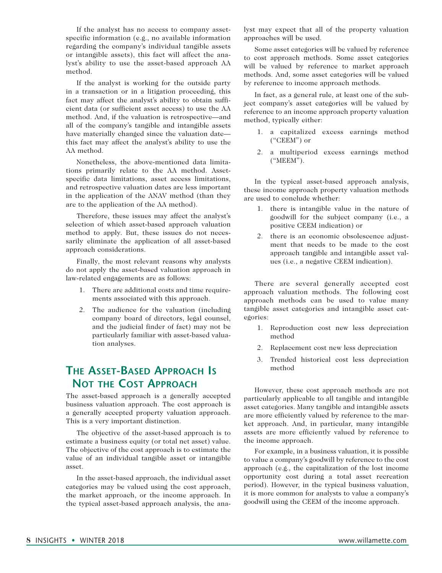If the analyst has no access to company assetspecific information (e.g., no available information regarding the company's individual tangible assets or intangible assets), this fact will affect the analyst's ability to use the asset-based approach AA method.

If the analyst is working for the outside party in a transaction or in a litigation proceeding, this fact may affect the analyst's ability to obtain sufficient data (or sufficient asset access) to use the AA method. And, if the valuation is retrospective—and all of the company's tangible and intangible assets have materially changed since the valuation date this fact may affect the analyst's ability to use the AA method.

Nonetheless, the above-mentioned data limitations primarily relate to the AA method. Assetspecific data limitations, asset access limitations, and retrospective valuation dates are less important in the application of the ANAV method (than they are to the application of the AA method).

Therefore, these issues may affect the analyst's selection of which asset-based approach valuation method to apply. But, these issues do not necessarily eliminate the application of all asset-based approach considerations.

Finally, the most relevant reasons why analysts do not apply the asset-based valuation approach in law-related engagements are as follows:

- 1. There are additional costs and time requirements associated with this approach.
- 2. The audience for the valuation (including company board of directors, legal counsel, and the judicial finder of fact) may not be particularly familiar with asset-based valuation analyses.

# **The Asset-Based Approach Is Not the Cost Approach**

The asset-based approach is a generally accepted business valuation approach. The cost approach is a generally accepted property valuation approach. This is a very important distinction.

The objective of the asset-based approach is to estimate a business equity (or total net asset) value. The objective of the cost approach is to estimate the value of an individual tangible asset or intangible asset.

In the asset-based approach, the individual asset categories may be valued using the cost approach, the market approach, or the income approach. In the typical asset-based approach analysis, the analyst may expect that all of the property valuation approaches will be used.

Some asset categories will be valued by reference to cost approach methods. Some asset categories will be valued by reference to market approach methods. And, some asset categories will be valued by reference to income approach methods.

In fact, as a general rule, at least one of the subject company's asset categories will be valued by reference to an income approach property valuation method, typically either:

- 1. a capitalized excess earnings method ("CEEM") or
- 2. a multiperiod excess earnings method ("MEEM").

In the typical asset-based approach analysis, these income approach property valuation methods are used to conclude whether:

- 1. there is intangible value in the nature of goodwill for the subject company (i.e., a positive CEEM indication) or
- 2. there is an economic obsolescence adjustment that needs to be made to the cost approach tangible and intangible asset values (i.e., a negative CEEM indication).

There are several generally accepted cost approach valuation methods. The following cost approach methods can be used to value many tangible asset categories and intangible asset categories:

- 1. Reproduction cost new less depreciation method
- 2. Replacement cost new less depreciation
- 3. Trended historical cost less depreciation method

However, these cost approach methods are not particularly applicable to all tangible and intangible asset categories. Many tangible and intangible assets are more efficiently valued by reference to the market approach. And, in particular, many intangible assets are more efficiently valued by reference to the income approach.

For example, in a business valuation, it is possible to value a company's goodwill by reference to the cost approach (e.g., the capitalization of the lost income opportunity cost during a total asset recreation period). However, in the typical business valuation, it is more common for analysts to value a company's goodwill using the CEEM of the income approach.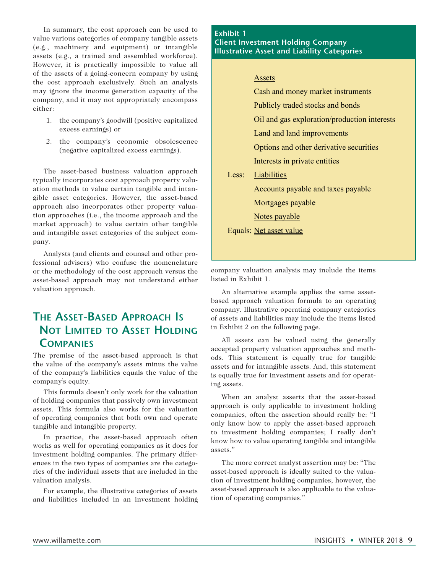In summary, the cost approach can be used to value various categories of company tangible assets (e.g., machinery and equipment) or intangible assets (e.g., a trained and assembled workforce). However, it is practically impossible to value all of the assets of a going-concern company by using the cost approach exclusively. Such an analysis may ignore the income generation capacity of the company, and it may not appropriately encompass either:

- 1. the company's goodwill (positive capitalized excess earnings) or
- 2. the company's economic obsolescence (negative capitalized excess earnings).

The asset-based business valuation approach typically incorporates cost approach property valuation methods to value certain tangible and intangible asset categories. However, the asset-based approach also incorporates other property valuation approaches (i.e., the income approach and the market approach) to value certain other tangible and intangible asset categories of the subject company.

Analysts (and clients and counsel and other professional advisers) who confuse the nomenclature or the methodology of the cost approach versus the asset-based approach may not understand either valuation approach.

# **The Asset-Based Approach Is Not Limited to Asset Holding Companies**

The premise of the asset-based approach is that the value of the company's assets minus the value of the company's liabilities equals the value of the company's equity.

This formula doesn't only work for the valuation of holding companies that passively own investment assets. This formula also works for the valuation of operating companies that both own and operate tangible and intangible property.

In practice, the asset-based approach often works as well for operating companies as it does for investment holding companies. The primary differences in the two types of companies are the categories of the individual assets that are included in the valuation analysis.

For example, the illustrative categories of assets and liabilities included in an investment holding

#### **Exhibit 1 Client Investment Holding Company Illustrative Asset and Liability Categories**

#### Assets

 Cash and money market instruments Publicly traded stocks and bonds Oil and gas exploration/production interests Land and land improvements Options and other derivative securities Interests in private entities Less: Liabilities Accounts payable and taxes payable Mortgages payable Notes payable Equals: Net asset value

company valuation analysis may include the items listed in Exhibit 1.

An alternative example applies the same assetbased approach valuation formula to an operating company. Illustrative operating company categories of assets and liabilities may include the items listed in Exhibit 2 on the following page.

All assets can be valued using the generally accepted property valuation approaches and methods. This statement is equally true for tangible assets and for intangible assets. And, this statement is equally true for investment assets and for operating assets.

When an analyst asserts that the asset-based approach is only applicable to investment holding companies, often the assertion should really be: "I only know how to apply the asset-based approach to investment holding companies; I really don't know how to value operating tangible and intangible assets."

The more correct analyst assertion may be: "The asset-based approach is ideally suited to the valuation of investment holding companies; however, the asset-based approach is also applicable to the valuation of operating companies."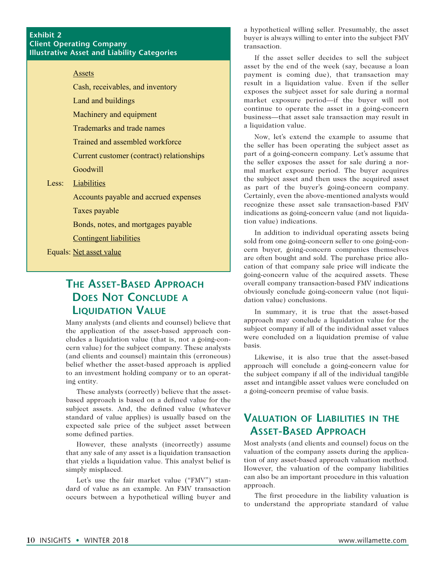#### **Exhibit 2 Client Operating Company Illustrative Asset and Liability Categories**

#### **Assets**

Cash, receivables, and inventory

Land and buildings

Machinery and equipment

Trademarks and trade names

Trained and assembled workforce

Current customer (contract) relationships

Goodwill

#### Less: Liabilities

Accounts payable and accrued expenses

Taxes payable

Bonds, notes, and mortgages payable

Contingent liabilities

Equals: Net asset value

### **The Asset-Based Approach Does Not Conclude a Liquidation Value**

Many analysts (and clients and counsel) believe that the application of the asset-based approach concludes a liquidation value (that is, not a going-concern value) for the subject company. These analysts (and clients and counsel) maintain this (erroneous) belief whether the asset-based approach is applied to an investment holding company or to an operating entity.

These analysts (correctly) believe that the assetbased approach is based on a defined value for the subject assets. And, the defined value (whatever standard of value applies) is usually based on the expected sale price of the subject asset between some defined parties.

However, these analysts (incorrectly) assume that any sale of any asset is a liquidation transaction that yields a liquidation value. This analyst belief is simply misplaced.

Let's use the fair market value ("FMV") standard of value as an example. An FMV transaction occurs between a hypothetical willing buyer and a hypothetical willing seller. Presumably, the asset buyer is always willing to enter into the subject FMV transaction.

If the asset seller decides to sell the subject asset by the end of the week (say, because a loan payment is coming due), that transaction may result in a liquidation value. Even if the seller exposes the subject asset for sale during a normal market exposure period—if the buyer will not continue to operate the asset in a going-concern business—that asset sale transaction may result in a liquidation value.

Now, let's extend the example to assume that the seller has been operating the subject asset as part of a going-concern company. Let's assume that the seller exposes the asset for sale during a normal market exposure period. The buyer acquires the subject asset and then uses the acquired asset as part of the buyer's going-concern company. Certainly, even the above-mentioned analysts would recognize these asset sale transaction-based FMV indications as going-concern value (and not liquidation value) indications.

In addition to individual operating assets being sold from one going-concern seller to one going-concern buyer, going-concern companies themselves are often bought and sold. The purchase price allocation of that company sale price will indicate the going-concern value of the acquired assets. These overall company transaction-based FMV indications obviously conclude going-concern value (not liquidation value) conclusions.

In summary, it is true that the asset-based approach may conclude a liquidation value for the subject company if all of the individual asset values were concluded on a liquidation premise of value basis.

Likewise, it is also true that the asset-based approach will conclude a going-concern value for the subject company if all of the individual tangible asset and intangible asset values were concluded on a going-concern premise of value basis.

### **Valuation of Liabilities in the Asset-Based Approach**

Most analysts (and clients and counsel) focus on the valuation of the company assets during the application of any asset-based approach valuation method. However, the valuation of the company liabilities can also be an important procedure in this valuation approach.

The first procedure in the liability valuation is to understand the appropriate standard of value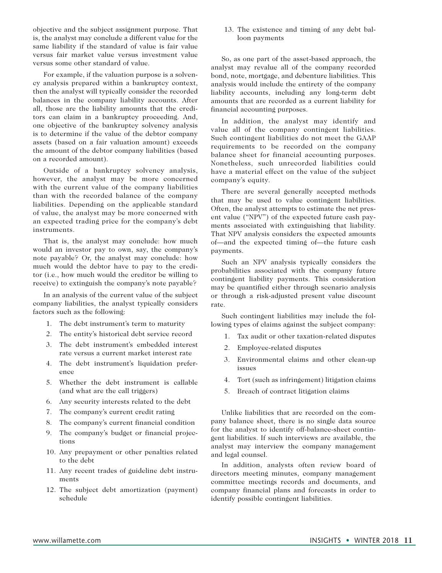objective and the subject assignment purpose. That is, the analyst may conclude a different value for the same liability if the standard of value is fair value versus fair market value versus investment value versus some other standard of value.

For example, if the valuation purpose is a solvency analysis prepared within a bankruptcy context, then the analyst will typically consider the recorded balances in the company liability accounts. After all, those are the liability amounts that the creditors can claim in a bankruptcy proceeding. And, one objective of the bankruptcy solvency analysis is to determine if the value of the debtor company assets (based on a fair valuation amount) exceeds the amount of the debtor company liabilities (based on a recorded amount).

Outside of a bankruptcy solvency analysis, however, the analyst may be more concerned with the current value of the company liabilities than with the recorded balance of the company liabilities. Depending on the applicable standard of value, the analyst may be more concerned with an expected trading price for the company's debt instruments.

That is, the analyst may conclude: how much would an investor pay to own, say, the company's note payable? Or, the analyst may conclude: how much would the debtor have to pay to the creditor (i.e., how much would the creditor be willing to receive) to extinguish the company's note payable?

In an analysis of the current value of the subject company liabilities, the analyst typically considers factors such as the following:

- 1. The debt instrument's term to maturity
- 2. The entity's historical debt service record
- 3. The debt instrument's embedded interest rate versus a current market interest rate
- 4. The debt instrument's liquidation preference
- 5. Whether the debt instrument is callable (and what are the call triggers)
- 6. Any security interests related to the debt
- 7. The company's current credit rating
- 8. The company's current financial condition
- 9. The company's budget or financial projections
- 10. Any prepayment or other penalties related to the debt
- 11. Any recent trades of guideline debt instruments
- 12. The subject debt amortization (payment) schedule

13. The existence and timing of any debt balloon payments

So, as one part of the asset-based approach, the analyst may revalue all of the company recorded bond, note, mortgage, and debenture liabilities. This analysis would include the entirety of the company liability accounts, including any long-term debt amounts that are recorded as a current liability for financial accounting purposes.

In addition, the analyst may identify and value all of the company contingent liabilities. Such contingent liabilities do not meet the GAAP requirements to be recorded on the company balance sheet for financial accounting purposes. Nonetheless, such unrecorded liabilities could have a material effect on the value of the subject company's equity.

There are several generally accepted methods that may be used to value contingent liabilities. Often, the analyst attempts to estimate the net present value ("NPV") of the expected future cash payments associated with extinguishing that liability. That NPV analysis considers the expected amounts of—and the expected timing of—the future cash payments.

Such an NPV analysis typically considers the probabilities associated with the company future contingent liability payments. This consideration may be quantified either through scenario analysis or through a risk-adjusted present value discount rate.

Such contingent liabilities may include the following types of claims against the subject company:

- 1. Tax audit or other taxation-related disputes
- 2. Employee-related disputes
- 3. Environmental claims and other clean-up issues
- 4. Tort (such as infringement) litigation claims
- 5. Breach of contract litigation claims

Unlike liabilities that are recorded on the company balance sheet, there is no single data source for the analyst to identify off-balance-sheet contingent liabilities. If such interviews are available, the analyst may interview the company management and legal counsel.

In addition, analysts often review board of directors meeting minutes, company management committee meetings records and documents, and company financial plans and forecasts in order to identify possible contingent liabilities.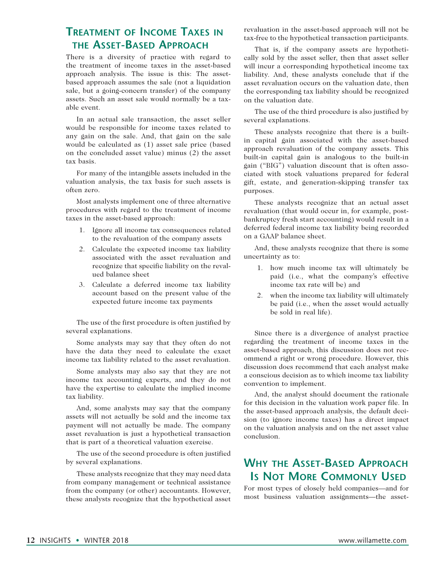### **Treatment of Income Taxes in the Asset-Based Approach**

There is a diversity of practice with regard to the treatment of income taxes in the asset-based approach analysis. The issue is this: The assetbased approach assumes the sale (not a liquidation sale, but a going-concern transfer) of the company assets. Such an asset sale would normally be a taxable event.

In an actual sale transaction, the asset seller would be responsible for income taxes related to any gain on the sale. And, that gain on the sale would be calculated as (1) asset sale price (based on the concluded asset value) minus (2) the asset tax basis.

For many of the intangible assets included in the valuation analysis, the tax basis for such assets is often zero.

Most analysts implement one of three alternative procedures with regard to the treatment of income taxes in the asset-based approach:

- 1. Ignore all income tax consequences related to the revaluation of the company assets
- 2. Calculate the expected income tax liability associated with the asset revaluation and recognize that specific liability on the revalued balance sheet
- 3. Calculate a deferred income tax liability account based on the present value of the expected future income tax payments

The use of the first procedure is often justified by several explanations.

Some analysts may say that they often do not have the data they need to calculate the exact income tax liability related to the asset revaluation.

Some analysts may also say that they are not income tax accounting experts, and they do not have the expertise to calculate the implied income tax liability.

And, some analysts may say that the company assets will not actually be sold and the income tax payment will not actually be made. The company asset revaluation is just a hypothetical transaction that is part of a theoretical valuation exercise.

The use of the second procedure is often justified by several explanations.

These analysts recognize that they may need data from company management or technical assistance from the company (or other) accountants. However, these analysts recognize that the hypothetical asset revaluation in the asset-based approach will not be tax-free to the hypothetical transaction participants.

That is, if the company assets are hypothetically sold by the asset seller, then that asset seller will incur a corresponding hypothetical income tax liability. And, these analysts conclude that if the asset revaluation occurs on the valuation date, then the corresponding tax liability should be recognized on the valuation date.

The use of the third procedure is also justified by several explanations.

These analysts recognize that there is a builtin capital gain associated with the asset-based approach revaluation of the company assets. This built-in capital gain is analogous to the built-in gain ("BIG") valuation discount that is often associated with stock valuations prepared for federal gift, estate, and generation-skipping transfer tax purposes.

These analysts recognize that an actual asset revaluation (that would occur in, for example, postbankruptcy fresh start accounting) would result in a deferred federal income tax liability being recorded on a GAAP balance sheet.

And, these analysts recognize that there is some uncertainty as to:

- 1. how much income tax will ultimately be paid (i.e., what the company's effective income tax rate will be) and
- 2. when the income tax liability will ultimately be paid (i.e., when the asset would actually be sold in real life).

Since there is a divergence of analyst practice regarding the treatment of income taxes in the asset-based approach, this discussion does not recommend a right or wrong procedure. However, this discussion does recommend that each analyst make a conscious decision as to which income tax liability convention to implement.

And, the analyst should document the rationale for this decision in the valuation work paper file. In the asset-based approach analysis, the default decision (to ignore income taxes) has a direct impact on the valuation analysis and on the net asset value conclusion.

### **Why the Asset-Based Approach Is Not More Commonly Used**

For most types of closely held companies—and for most business valuation assignments—the asset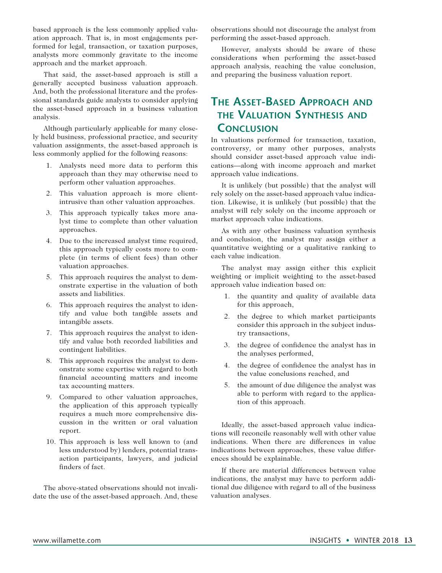based approach is the less commonly applied valuation approach. That is, in most engagements performed for legal, transaction, or taxation purposes, analysts more commonly gravitate to the income approach and the market approach.

That said, the asset-based approach is still a generally accepted business valuation approach. And, both the professional literature and the professional standards guide analysts to consider applying the asset-based approach in a business valuation analysis.

Although particularly applicable for many closely held business, professional practice, and security valuation assignments, the asset-based approach is less commonly applied for the following reasons:

- 1. Analysts need more data to perform this approach than they may otherwise need to perform other valuation approaches.
- 2. This valuation approach is more clientintrusive than other valuation approaches.
- 3. This approach typically takes more analyst time to complete than other valuation approaches.
- 4. Due to the increased analyst time required, this approach typically costs more to complete (in terms of client fees) than other valuation approaches.
- 5. This approach requires the analyst to demonstrate expertise in the valuation of both assets and liabilities.
- 6. This approach requires the analyst to identify and value both tangible assets and intangible assets.
- 7. This approach requires the analyst to identify and value both recorded liabilities and contingent liabilities.
- 8. This approach requires the analyst to demonstrate some expertise with regard to both financial accounting matters and income tax accounting matters.
- 9. Compared to other valuation approaches, the application of this approach typically requires a much more comprehensive discussion in the written or oral valuation report.
- 10. This approach is less well known to (and less understood by) lenders, potential transaction participants, lawyers, and judicial finders of fact.

The above-stated observations should not invalidate the use of the asset-based approach. And, these observations should not discourage the analyst from performing the asset-based approach.

However, analysts should be aware of these considerations when performing the asset-based approach analysis, reaching the value conclusion, and preparing the business valuation report.

### **The Asset-Based Approach and the Valuation Synthesis and Conclusion**

In valuations performed for transaction, taxation, controversy, or many other purposes, analysts should consider asset-based approach value indications—along with income approach and market approach value indications.

It is unlikely (but possible) that the analyst will rely solely on the asset-based approach value indication. Likewise, it is unlikely (but possible) that the analyst will rely solely on the income approach or market approach value indications.

As with any other business valuation synthesis and conclusion, the analyst may assign either a quantitative weighting or a qualitative ranking to each value indication.

The analyst may assign either this explicit weighting or implicit weighting to the asset-based approach value indication based on:

- 1. the quantity and quality of available data for this approach,
- 2. the degree to which market participants consider this approach in the subject industry transactions,
- 3. the degree of confidence the analyst has in the analyses performed,
- 4. the degree of confidence the analyst has in the value conclusions reached, and
- 5. the amount of due diligence the analyst was able to perform with regard to the application of this approach.

Ideally, the asset-based approach value indications will reconcile reasonably well with other value indications. When there are differences in value indications between approaches, these value differences should be explainable.

If there are material differences between value indications, the analyst may have to perform additional due diligence with regard to all of the business valuation analyses.